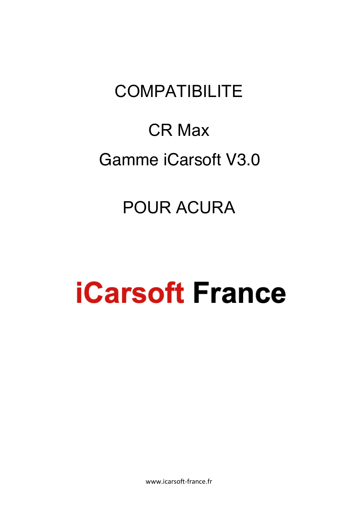# **COMPATIBILITE**

# CR Max Gamme iCarsoft V3.0

## POUR ACURA

# **iCarsoft France**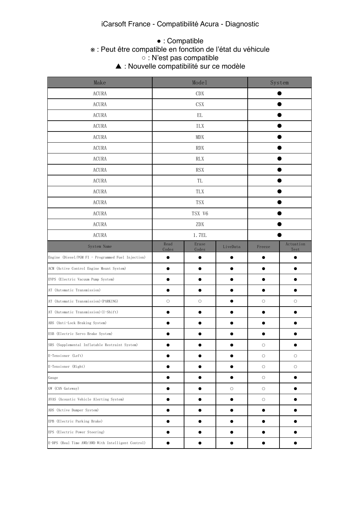#### iCarsoft France - Compatibilité Acura - Diagnostic

## ● : Compatible

#### e this is  $\mathbf x$  . Feu ※ : Peut être compatible en fonction de l'état du véhicule

 $\circ$  This function may be supported. Which depends on the vehicle.  $\circ$ ○ : N'est pas compatible

▲ : Nouvelle compatibilité sur ce modèle

| Make                                               | Model         |                | System     |            |                   |
|----------------------------------------------------|---------------|----------------|------------|------------|-------------------|
| <b>ACURA</b>                                       |               | CDX            |            |            |                   |
| <b>ACURA</b>                                       |               | <b>CSX</b>     |            |            |                   |
| <b>ACURA</b>                                       |               | EL             |            |            |                   |
| <b>ACURA</b>                                       |               | ILX            |            |            |                   |
| <b>ACURA</b>                                       |               | MDX            |            |            |                   |
| <b>ACURA</b>                                       |               | <b>RDX</b>     |            |            |                   |
| <b>ACURA</b>                                       |               | <b>RLX</b>     |            |            |                   |
| <b>ACURA</b>                                       |               | <b>RSX</b>     |            |            |                   |
| <b>ACURA</b>                                       |               | TL             |            |            |                   |
| <b>ACURA</b>                                       |               | TLX            |            |            |                   |
| <b>ACURA</b>                                       |               | <b>TSX</b>     |            |            |                   |
| <b>ACURA</b>                                       |               | TSX V6         |            |            |                   |
| <b>ACURA</b>                                       | ZDX           |                |            |            |                   |
| <b>ACURA</b>                                       | 1.7EL         |                |            |            |                   |
| System Name                                        | Read<br>Codes | Erase<br>Codes | LiveData   | Freeze     | Actuation<br>Test |
| Engine (Diesel/PGM FI - Programmed Fuel Injection) |               |                |            |            |                   |
| ACM (Active Control Engine Mount System)           |               |                |            |            |                   |
| EVPS (Electric Vacuum Pump System)                 |               |                |            |            |                   |
| AT (Automatic Transmission)                        |               |                |            | e          |                   |
| AT (Automatic Transmission) (PARKING)              | $\circ$       | $\bigcirc$     |            | $\circ$    | $\circ$           |
| AT (Automatic Transmission) (I-Shift)              |               |                |            |            |                   |
| ABS (Anti-Lock Braking System)                     |               |                |            |            |                   |
| ESB (Electric Servo Brake System)                  |               |                |            |            |                   |
| SRS (Supplemental Inflatable Restraint System)     |               |                |            | $\circ$    |                   |
| E-Tensioner (Left)                                 |               |                |            | $\bigcirc$ | $\bigcirc$        |
| E-Tensioner (Right)                                |               |                |            | $\bigcirc$ | О                 |
| Gauge                                              |               |                |            | $\bigcirc$ |                   |
| GW (CAN Gateway)                                   |               |                | $\bigcirc$ | $\bigcirc$ |                   |
| AVAS (Acoustic Vehicle Alerting System)            |               | $\bullet$      |            | $\bigcirc$ |                   |
| ADS (Active Damper System)                         | $\bullet$     |                | $\bullet$  | D          |                   |
| EPB (Electric Parking Brake)                       |               |                |            | $\bullet$  |                   |
| EPS (Electric Power Steering)                      |               | $\bullet$      | o          | $\bullet$  |                   |
| E-DPS (Real Time AWD/AWD With Intelligent Control) | $\bullet$     |                | $\bullet$  |            |                   |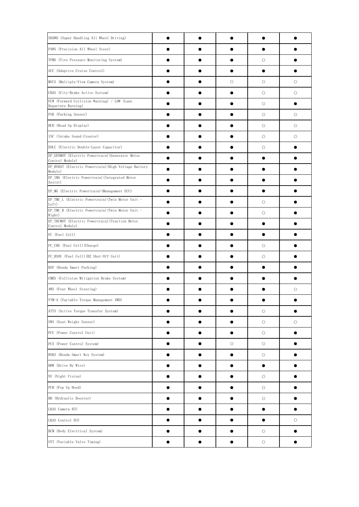| SHAWD (Super Handling All Wheel Driving)                            |           |   |            |         |
|---------------------------------------------------------------------|-----------|---|------------|---------|
| PAWS (Precision All Wheel Steer)                                    |           |   |            |         |
| TPMS (Tire Pressure Monitoring System)                              |           |   | О          |         |
| ACC (Adaptive Cruise Control)                                       |           |   |            |         |
| MVCS (Multiple-View Camera System)                                  |           | О | О          | $\circ$ |
| CBAS (City-Brake Active System)                                     |           |   | $\circ$    | $\circ$ |
| FCW (Forward Collision Warning) / LDW (Lane<br>Departure Warning)   |           |   | $\bigcirc$ |         |
| PSR (Parking Sensor)                                                |           |   | $\bigcirc$ | $\circ$ |
| HUD (Head Up Display)                                               |           |   | $\bigcirc$ | $\circ$ |
| ISC (Intake Sound Creator)                                          |           |   | $\circ$    | О       |
| EDLC (Electric Double-Layer Capacitor)                              |           |   | $\circ$    |         |
| EP GENMOT (Electric Powertrain) (Generator Motor<br>Control Module) |           |   |            |         |
| EP HVBAT (Electric Powertrain) (High Voltage Battery<br>Module)     |           |   |            |         |
| EP_IMA (Electric Powertrain) (Integrated Motor<br>Assist)           |           |   |            |         |
| EP_MG (Electric Powertrain) (Management ECU)                        |           |   |            |         |
| EP_TMU_L (Electric Powertrain) (Twin Motor Unit -<br>Left)          |           |   | $\circ$    |         |
| EP TMU R (Electric Powertrain) (Twin Motor Unit -<br>Right)         |           |   | $\circ$    |         |
| EP TRCMOT (Electric Powertrain) (Traction Motor<br>Control Module)  |           |   |            |         |
| FC (Fuel Cell)                                                      |           |   |            |         |
| FC CHG (Fuel Cell) (Charge)                                         |           |   | $\circ$    |         |
| FC HSOU (Fuel Cell) (H2 Shut-Off Unit)                              |           |   | $\circ$    |         |
| HSP (Honda Smart Parking)                                           |           |   |            |         |
| CMBS (Collision Mitigation Brake System)                            |           |   |            |         |
| 4WS (Four Wheel Steering)                                           |           |   |            | О       |
| VTM-4 (Variable Torque Management 4WD)                              |           |   |            |         |
| ATTS (Active Torque Transfer System)                                |           |   | $\bigcirc$ |         |
| SWS (Seat Weight Sensor)                                            |           |   | $\bigcirc$ | О       |
| PCU (Power Control Unit)                                            | O         |   | $\bigcirc$ |         |
| PCS (Power Control System)                                          | O         | О | $\bigcirc$ |         |
| HSKS (Honda Smart Key System)                                       | O         |   | $\bigcirc$ |         |
| DBW (Drive By Wire)                                                 | ●         |   | $\bullet$  |         |
| NV (Night Vision)                                                   |           |   | $\bigcirc$ |         |
| PUH (Pop Up Hood)                                                   | 0         |   | $\bigcirc$ |         |
| HB (Hydraulic Booster)                                              | $\bullet$ |   | $\bigcirc$ |         |
| LKAS Camera ECU                                                     |           |   |            |         |
| LKAS Control ECU                                                    |           |   |            | $\circ$ |
| BCM (Body Electrical System)                                        |           |   | $\circ$    |         |
| SVT (Variable Valve Timing)                                         |           |   | $\bigcirc$ |         |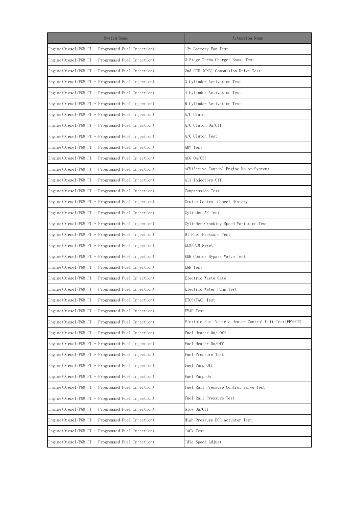| System Name                                           | Actuation Name                                         |
|-------------------------------------------------------|--------------------------------------------------------|
| Engine (Diesel/PGM FI - Programmed Fuel Injection)    | 12v Battery Fan Test                                   |
| Engine (Diesel/PGM FI - Programmed Fuel Injection)    | 2 Stage Turbo Charger Boost Test                       |
| Engine (Diesel/PGM FI - Programmed Fuel Injection)    | 2nd ECU (CNG) Compulsion Drive Test                    |
| Engine (Diesel/PGM FI - Programmed Fuel Injection)    | 3 Cylinder Activation Test                             |
| Engine (Diesel/PGM FI - Programmed Fuel Injection)    | 4 Cylinder Activation Test                             |
| Engine (Diesel/PGM FI - Programmed Fuel Injection)    | 6 Cylinder Activation Test                             |
| Engine (Diesel/PGM FI - Programmed Fuel Injection)    | A/C Clutch                                             |
| Engine (Diesel/PGM FI - Programmed Fuel Injection)    | A/C Clutch On/Off                                      |
| Engine (Diesel/PGM FI - Programmed Fuel Injection)    | A/C Clutch Test                                        |
| Engine (Diesel/PGM FI - Programmed Fuel Injection)    | ABV Test                                               |
| Engine (Diesel/PGM FI - Programmed Fuel Injection)    | ACG On/Off                                             |
| Engine (Diesel/PGM FI - Programmed Fuel Injection)    | ACM(Active Control Engine Mount System)                |
| Engine (Diesel/PGM FI - Programmed Fuel Injection)    | All Injectors Off                                      |
| Engine (Diesel/PGM FI - Programmed Fuel Injection)    | Compression Test                                       |
| Engine (Diesel/PGM FI - Programmed Fuel Injection)    | Cruise Control Cancel History                          |
| Engine (Diese $1/PGM$ FI - Programmed Fuel Injection) | Cylinder AF Test                                       |
| Engine (Diese $1/PGM$ FI - Programmed Fuel Injection) | Cylinder Cranking Speed Variation Test                 |
| Engine (Diese $1/PGM$ FI - Programmed Fuel Injection) | DI Fuel Pressure Test                                  |
| Engine (Diesel/PGM FI - Programmed Fuel Injection)    | ECM/PCM Reset                                          |
| Engine (Diesel/PGM FI - Programmed Fuel Injection)    | EGR Cooler Bypass Valve Test                           |
| Engine (Diesel/PGM FI - Programmed Fuel Injection)    | EGR Test                                               |
| Engine (Diesel/PGM FI - Programmed Fuel Injection)    | Electric Waste Gate                                    |
| Engine (Diesel/PGM FI - Programmed Fuel Injection)    | Electric Water Pump Test                               |
| Engine (Diesel/PGM FI - Programmed Fuel Injection)    | ETCS (TAC) Test                                        |
| Engine (Diesel/PGM FI - Programmed Fuel Injection)    | EVAP Test                                              |
| Engine (Diesel/PGM FI - Programmed Fuel Injection)    | Flexible Fuel Vehicle Heater Control Unit Test(FFVHCU) |
| Engine (Diesel/PGM FI - Programmed Fuel Injection)    | Fuel Heater On/ Off                                    |
| Engine (Diesel/PGM FI - Programmed Fuel Injection)    | Fuel Heater On/Off                                     |
| Engine (Diesel/PGM FI - Programmed Fuel Injection)    | Fuel Pressure Test                                     |
| Engine (Diesel/PGM FI - Programmed Fuel Injection)    | Fuel Pump Off                                          |
| Engine (Diesel/PGM FI - Programmed Fuel Injection)    | Fuel Pump On                                           |
| Engine (Diesel/PGM FI - Programmed Fuel Injection)    | Fuel Rail Pressure Control Valve Test                  |
| Engine (Diesel/PGM FI - Programmed Fuel Injection)    | Fuel Rail Pressure Test                                |
| Engine (Diesel/PGM FI - Programmed Fuel Injection)    | Glow On/Off                                            |
| Engine (Diesel/PGM FI - Programmed Fuel Injection)    | High Pressure EGR Actuator Test                        |
| Engine (Diesel/PGM FI - Programmed Fuel Injection)    | IACV Test                                              |
| Engine (Diesel/PGM FI - Programmed Fuel Injection)    | Idle Speed Adjust                                      |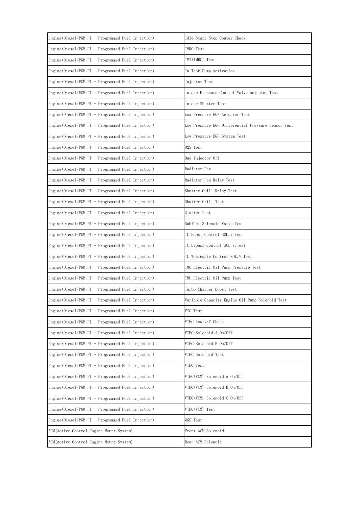| Engine (Diesel/PGM FI - Programmed Fuel Injection)    | Idle Start Stop Couter Check                       |
|-------------------------------------------------------|----------------------------------------------------|
| Engine (Diesel/PGM FI - Programmed Fuel Injection)    | IMRC Test                                          |
| Engine (Diesel/PGM FI - Programmed Fuel Injection)    | IMT(IMRC) Test                                     |
| Engine (Diesel/PGM FI - Programmed Fuel Injection)    | In Tank Pump Activation                            |
| Engine (Diesel/PGM FI - Programmed Fuel Injection)    | Injector Test                                      |
| Engine (Diesel/PGM FI - Programmed Fuel Injection)    | Intake Pressure Control Valve Actuator Test        |
| Engine (Diesel/PGM FI - Programmed Fuel Injection)    | Intake Shutter Test                                |
| Engine (Diesel/PGM FI - Programmed Fuel Injection)    | Low Pressure EGR Actuator Test                     |
| Engine (Diesel/PGM FI - Programmed Fuel Injection)    | Low Pressure EGR Differential Pressure Sensor Test |
| Engine (Diesel/PGM FI - Programmed Fuel Injection)    | Low Pressure EGR System Test                       |
| Engine (Diesel/PGM FI - Programmed Fuel Injection)    | 02S Test                                           |
| Engine (Diesel/PGM FI - Programmed Fuel Injection)    | One Injector Off                                   |
| Engine (Diesel/PGM FI - Programmed Fuel Injection)    | Radiator Fan                                       |
| Engine (Diesel/PGM FI - Programmed Fuel Injection)    | Radiator Fan Relay Test                            |
| Engine (Diesel/PGM FI - Programmed Fuel Injection)    | Shutter Grill Relay Test                           |
| Engine (Diesel/PGM FI - Programmed Fuel Injection)    | Shutter Grill Test                                 |
| Engine (Diesel/PGM FI - Programmed Fuel Injection)    | Starter Test                                       |
| Engine (Diesel/PGM FI - Programmed Fuel Injection)    | Subfuel Solenoid Valve Test                        |
| Engine (Diesel/PGM FI - Programmed Fuel Injection)    | TC Boost Control SOL.V.Test                        |
| Engine (Diesel/PGM FI - Programmed Fuel Injection)    | TC Bypass Control SOL.V. Test                      |
| Engine (Diesel/PGM FI - Programmed Fuel Injection)    | TC Wastegate Control SOL.V.Test                    |
| Engine (Diesel/PGM FI - Programmed Fuel Injection)    | TMU Electric Oil Pump Pressure Test                |
| Engine (Diese $1/PGM$ FI - Programmed Fuel Injection) | TMU Electric Oil Pump Test                         |
| Engine (Diesel/PGM FI - Programmed Fuel Injection)    | Turbo Charger Boost Test                           |
| Engine (Diese $1/PGM$ FI - Programmed Fuel Injection) | Variable Capacity Engine Oil Pump Solenoid Test    |
| Engine (Diesel/PGM FI - Programmed Fuel Injection)    | VTC Test                                           |
| Engine (Diese $1/PGM$ FI - Programmed Fuel Injection) | VTEC Low V/T Check                                 |
| Engine (Diesel/PGM FI - Programmed Fuel Injection)    | VTEC Solenoid A On/Off                             |
| Engine (Diesel/PGM FI - Programmed Fuel Injection)    | VTEC Solenoid B On/Off                             |
| Engine (Diese $1/PGM$ FI - Programmed Fuel Injection) | VTEC Solenoid Test                                 |
| Engine (Diesel/PGM FI - Programmed Fuel Injection)    | VTEC Test                                          |
| Engine (Diesel/PGM FI - Programmed Fuel Injection)    | VTEC(VCM) Solenoid A On/Off                        |
| Engine (Diesel/PGM FI - Programmed Fuel Injection)    | VTEC(VCM) Solenoid B On/Off                        |
| Engine (Diesel/PGM FI - Programmed Fuel Injection)    | VTEC(VCM) Solenoid C On/Off                        |
| Engine (Diesel/PGM FI - Programmed Fuel Injection)    | VTEC(VCM) Test                                     |
| Engine (Diesel/PGM FI - Programmed Fuel Injection)    | WGS Test                                           |
| ACM(Active Control Engine Mount System)               | Front ACM Solenoid                                 |
| ACM(Active Control Engine Mount System)               | Rear ACM Solenoid                                  |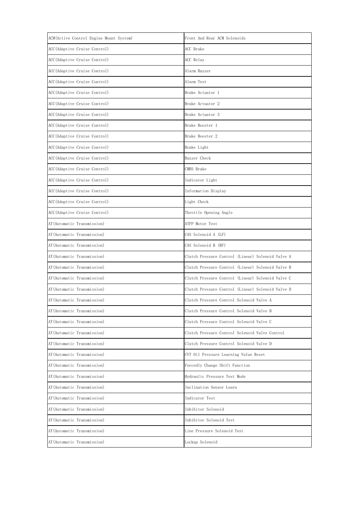| ACM (Active Control Engine Mount System) | Front And Rear ACM Solenoids                      |  |
|------------------------------------------|---------------------------------------------------|--|
| ACC(Adaptive Cruise Control)             | ACC Brake                                         |  |
| ACC(Adaptive Cruise Control)             | ACC Relay                                         |  |
| ACC(Adaptive Cruise Control)             | Alarm Buzzer                                      |  |
| ACC (Adaptive Cruise Control)            | Alarm Test                                        |  |
| ACC(Adaptive Cruise Control)             | Brake Actuator 1                                  |  |
| ACC (Adaptive Cruise Control)            | Brake Actuator 2                                  |  |
| ACC(Adaptive Cruise Control)             | Brake Actuator 3                                  |  |
| ACC (Adaptive Cruise Control)            | Brake Booster 1                                   |  |
| ACC(Adaptive Cruise Control)             | Brake Booster 2                                   |  |
| ACC (Adaptive Cruise Control)            | Brake Light                                       |  |
| ACC (Adaptive Cruise Control)            | Buzzer Check                                      |  |
| ACC (Adaptive Cruise Control)            | CMBS Brake                                        |  |
| ACC (Adaptive Cruise Control)            | Indicator Light                                   |  |
| ACC (Adaptive Cruise Control)            | Information Display                               |  |
| ACC(Adaptive Cruise Control)             | Light Check                                       |  |
| ACC (Adaptive Cruise Control)            | Throttle Opening Angle                            |  |
| AT (Automatic Transmission)              | ATFP Motor Test                                   |  |
| AT (Automatic Transmission)              | CAS Solenoid A (LF)                               |  |
| AT (Automatic Transmission)              | CAS Solenoid B (RF)                               |  |
| AT (Automatic Transmission)              | Clutch Pressure Control (Linear) Solenoid Valve A |  |
| AT (Automatic Transmission)              | Clutch Pressure Control (Linear) Solenoid Valve B |  |
| AT (Automatic Transmission)              | Clutch Pressure Control (Linear) Solenoid Valve C |  |
| AT (Automatic Transmission)              | Clutch Pressure Control (Linear) Solenoid Valve D |  |
| AT (Automatic Transmission)              | Clutch Pressure Control Solenoid Valve A          |  |
| AT (Automatic Transmission)              | Clutch Pressure Control Solenoid Valve B          |  |
| AT (Automatic Transmission)              | Clutch Pressure Control Solenoid Valve C          |  |
| AT (Automatic Transmission)              | Clutch Pressure Control Solenoid Valve Control    |  |
| AT (Automatic Transmission)              | Clutch Pressure Control Solenoid Valve D          |  |
| AT (Automatic Transmission)              | CVT Oil Pressure Learning Value Reset             |  |
| AT (Automatic Transmission)              | Forcedly Change Shift Function                    |  |
| AT (Automatic Transmission)              | Hydraulic Pressure Test Mode                      |  |
| AT (Automatic Transmission)              | Inclination Sensor Learn                          |  |
| AT (Automatic Transmission)              | Indicator Test                                    |  |
| AT (Automatic Transmission)              | Inhibitor Solenoid                                |  |
| AT (Automatic Transmission)              | Inhibitor Solenoid Test                           |  |
| AT (Automatic Transmission)              | Line Pressure Solenoid Test                       |  |
| AT (Automatic Transmission)              | Lockup Solenoid                                   |  |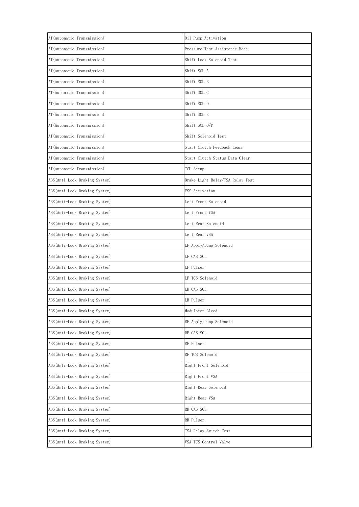| AT (Automatic Transmission)    | Oil Pump Activation              |
|--------------------------------|----------------------------------|
| AT (Automatic Transmission)    | Pressure Test Assistance Mode    |
| AT (Automatic Transmission)    | Shift Lock Solenoid Test         |
| AT (Automatic Transmission)    | Shift SOL A                      |
| AT (Automatic Transmission)    | Shift SOL B                      |
| AT (Automatic Transmission)    | Shift SOL C                      |
| AT (Automatic Transmission)    | Shift SOL D                      |
| AT (Automatic Transmission)    | Shift SOL E                      |
| AT(Automatic Transmission)     | Shift SOL O/P                    |
| AT(Automatic Transmission)     | Shift Solenoid Test              |
| AT(Automatic Transmission)     | Start Clutch Feedback Learn      |
| AT(Automatic Transmission)     | Start Clutch Status Data Clear   |
| AT(Automatic Transmission)     | TCU Setup                        |
| ABS (Anti-Lock Braking System) | Brake Light Relay/TSA Relay Test |
| ABS (Anti-Lock Braking System) | ESS Activation                   |
| ABS(Anti-Lock Braking System)  | Left Front Solenoid              |
| ABS(Anti-Lock Braking System)  | Left Front VSA                   |
| ABS(Anti-Lock Braking System)  | Left Rear Solenoid               |
| ABS(Anti-Lock Braking System)  | Left Rear VSA                    |
| ABS(Anti-Lock Braking System)  | LF Apply/Dump Solenoid           |
| ABS (Anti-Lock Braking System) | LF CAS SOL                       |
| ABS(Anti-Lock Braking System)  | LF Pulser                        |
| ABS (Anti-Lock Braking System) | LF TCS Solenoid                  |
| ABS(Anti-Lock Braking System)  | LR CAS SOL                       |
| ABS (Anti-Lock Braking System) | LR Pulser                        |
| ABS (Anti-Lock Braking System) | Modulator Bleed                  |
| ABS(Anti-Lock Braking System)  | RF Apply/Dump Solenoid           |
| ABS(Anti-Lock Braking System)  | RF CAS SOL                       |
| ABS (Anti-Lock Braking System) | RF Pulser                        |
| ABS (Anti-Lock Braking System) | RF TCS Solenoid                  |
| ABS(Anti-Lock Braking System)  | Right Front Solenoid             |
| ABS(Anti-Lock Braking System)  | Right Front VSA                  |
| ABS (Anti-Lock Braking System) | Right Rear Solenoid              |
| ABS(Anti-Lock Braking System)  | Right Rear VSA                   |
| ABS(Anti-Lock Braking System)  | RR CAS SOL                       |
| ABS (Anti-Lock Braking System) | RR Pulser                        |
| ABS(Anti-Lock Braking System)  | TSA Relay Switch Test            |
| ABS (Anti-Lock Braking System) | VSA-TCS Control Valve            |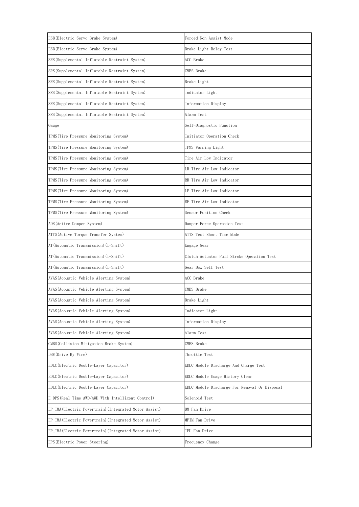| ESB (Electric Servo Brake System)                      | Forced Non Assist Mode                        |
|--------------------------------------------------------|-----------------------------------------------|
| ESB (Electric Servo Brake System)                      | Brake Light Relay Test                        |
| SRS (Supplemental Inflatable Restraint System)         | ACC Brake                                     |
| SRS (Supplemental Inflatable Restraint System)         | CMBS Brake                                    |
| SRS (Supplemental Inflatable Restraint System)         | Brake Light                                   |
| SRS (Supplemental Inflatable Restraint System)         | Indicator Light                               |
| SRS (Supplemental Inflatable Restraint System)         | Information Display                           |
| SRS (Supplemental Inflatable Restraint System)         | Alarm Test                                    |
| Gauge                                                  | Self-Diagnostic Function                      |
| TPMS(Tire Pressure Monitoring System)                  | Initiator Operation Check                     |
| TPMS (Tire Pressure Monitoring System)                 | TPMS Warning Light                            |
| TPMS (Tire Pressure Monitoring System)                 | Tire Air Low Indicator                        |
| TPMS (Tire Pressure Monitoring System)                 | LR Tire Air Low Indicator                     |
| TPMS (Tire Pressure Monitoring System)                 | RR Tire Air Low Indicator                     |
| TPMS (Tire Pressure Monitoring System)                 | LF Tire Air Low Indicator                     |
| TPMS (Tire Pressure Monitoring System)                 | RF Tire Air Low Indicator                     |
| TPMS (Tire Pressure Monitoring System)                 | Sensor Position Check                         |
| ADS (Active Damper System)                             | Damper Force Operation Test                   |
| ATTS (Active Torque Transfer System)                   | ATTS Test Short Time Mode                     |
| AT(Automatic Transmission)(I-Shift)                    | Engage Gear                                   |
| AT(Automatic Transmission)(I-Shift)                    | Clutch Actuator Full Stroke Operation Test    |
| AT(Automatic Transmission)(I-Shift)                    | Gear Box Self Test                            |
| AVAS (Acoustic Vehicle Alerting System)                | ACC Brake                                     |
| AVAS (Acoustic Vehicle Alerting System)                | CMBS Brake                                    |
| AVAS (Acoustic Vehicle Alerting System)                | Brake Light                                   |
| AVAS (Acoustic Vehicle Alerting System)                | Indicator Light                               |
| AVAS (Acoustic Vehicle Alerting System)                | Information Display                           |
| AVAS (Acoustic Vehicle Alerting System)                | Alarm Test                                    |
| CMBS(Collision Mitigation Brake System)                | CMBS Brake                                    |
| DBW(Drive By Wire)                                     | Throttle Test                                 |
| EDLC(Electric Double-Layer Capacitor)                  | EDLC Module Discharge And Charge Test         |
| EDLC(Electric Double-Layer Capacitor)                  | EDLC Module Usage History Clear               |
| EDLC(Electric Double-Layer Capacitor)                  | EDLC Module Discharge For Removal Or Disposal |
| E-DPS (Real Time AWD/AWD With Intelligent Control)     | Solenoid Test                                 |
| EP IMA (Electric Powertrain) (Integrated Motor Assist) | BM Fan Drive                                  |
| EP IMA (Electric Powertrain) (Integrated Motor Assist) | MPIM Fan Drive                                |
| EP IMA (Electric Powertrain) (Integrated Motor Assist) | IPU Fan Drive                                 |
| EPS (Electric Power Steering)                          | Frequency Change                              |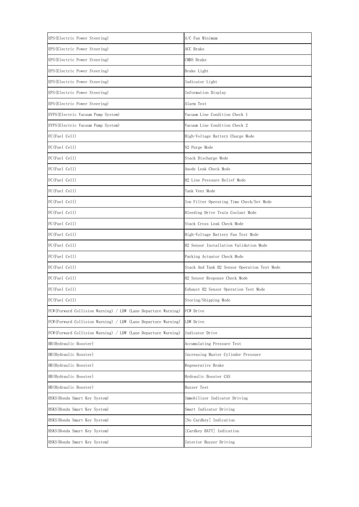| EPS (Electric Power Steering)                                  | A/C Fan Minimum                              |
|----------------------------------------------------------------|----------------------------------------------|
| EPS (Electric Power Steering)                                  | ACC Brake                                    |
| EPS (Electric Power Steering)                                  | CMBS Brake                                   |
| EPS (Electric Power Steering)                                  | Brake Light                                  |
| EPS (Electric Power Steering)                                  | Indicator Light                              |
| EPS (Electric Power Steering)                                  | Information Display                          |
| EPS (Electric Power Steering)                                  | Alarm Test                                   |
| EVPS (Electric Vacuum Pump System)                             | Vacuum Line Condition Check 1                |
| EVPS (Electric Vacuum Pump System)                             | Vacuum Line Condition Check 2                |
| FC(Fuel Cell)                                                  | High-Voltage Battery Charge Mode             |
| FC(Fuel Cell)                                                  | N2 Purge Mode                                |
| FC(Fuel Cell)                                                  | Stack Discharge Mode                         |
| FC(Fuel Cell)                                                  | Anode Leak Check Mode                        |
| FC(Fuel Cell)                                                  | H2 Line Pressure Relief Mode                 |
| FC(Fuel Cell)                                                  | Tank Vent Mode                               |
| FC(Fuel Cell)                                                  | Ion Filter Operating Time Check/Set Mode     |
| FC(Fuel Cell)                                                  | Bleeding Drive Train Coolant Mode            |
| FC(Fuel Cell)                                                  | Stack Cross Leak Check Mode                  |
| FC(Fuel Cell)                                                  | High-Voltage Battery Fan Test Mode           |
| FC(Fuel Cell)                                                  | H2 Sensor Installation Validation Mode       |
| FC (Fuel Cell)                                                 | Parking Actuator Check Mode                  |
| FC(Fuel Cell)                                                  | Stack And Tank H2 Sensor Operation Test Mode |
| FC(Fuel Cell)                                                  | H2 Sensor Response Check Mode                |
| FC (Fuel Cell)                                                 | Exhaust H2 Sensor Operation Test Mode        |
| FC(Fuel Cell)                                                  | Storing/Shipping Mode                        |
| FCW (Forward Collision Warning) / LDW (Lane Departure Warning) | FCW Drive                                    |
| FCW (Forward Collision Warning) / LDW (Lane Departure Warning) | LDW Drive                                    |
| FCW (Forward Collision Warning) / LDW (Lane Departure Warning) | Indicator Drive                              |
| HB(Hydraulic Booster)                                          | Accumulating Pressure Test                   |
| HB(Hydraulic Booster)                                          | Increasing Master Cylinder Pressure          |
| HB (Hydraulic Booster)                                         | Regenerative Brake                           |
| HB (Hydraulic Booster)                                         | Hydraulic Booster CAS                        |
| HB (Hydraulic Booster)                                         | Buzzer Test                                  |
| HSKS (Honda Smart Key System)                                  | Immobilizer Indicator Driving                |
| HSKS(Honda Smart Key System)                                   | Smart Indicator Driving                      |
| HSKS (Honda Smart Key System)                                  | [No Cardkey] Indication                      |
| HSKS(Honda Smart Key System)                                   | [Cardkey BATT] Indication                    |
| HSKS (Honda Smart Key System)                                  | Interior Buzzer Driving                      |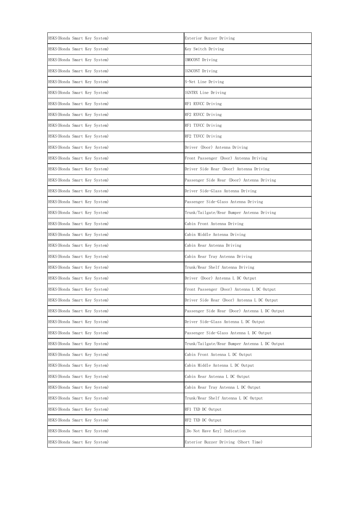| HSKS (Honda Smart Key System) | Exterior Buzzer Driving                        |
|-------------------------------|------------------------------------------------|
| HSKS(Honda Smart Key System)  | Key Switch Driving                             |
| HSKS(Honda Smart Key System)  | IMOCONT Driving                                |
| HSKS(Honda Smart Key System)  | IGNCONT Driving                                |
| HSKS(Honda Smart Key System)  | S-Net Line Driving                             |
| HSKS(Honda Smart Key System)  | IGNTRX Line Driving                            |
| HSKS(Honda Smart Key System)  | RF1 RXVCC Driving                              |
| HSKS(Honda Smart Key System)  | RF2 RXVCC Driving                              |
| HSKS(Honda Smart Key System)  | RF1 TXVCC Driving                              |
| HSKS(Honda Smart Key System)  | RF2 TXVCC Driving                              |
| HSKS(Honda Smart Key System)  | Driver (Door) Antenna Driving                  |
| HSKS(Honda Smart Key System)  | Front Passenger (Door) Antenna Driving         |
| HSKS(Honda Smart Key System)  | Driver Side Rear (Door) Antenna Driving        |
| HSKS(Honda Smart Key System)  | Passenger Side Rear (Door) Antenna Driving     |
| HSKS(Honda Smart Key System)  | Driver Side-Glass Antenna Driving              |
| HSKS(Honda Smart Key System)  | Passenger Side-Glass Antenna Driving           |
| HSKS(Honda Smart Key System)  | Trunk/Tailgate/Rear Bumper Antenna Driving     |
| HSKS(Honda Smart Key System)  | Cabin Front Antenna Driving                    |
| HSKS(Honda Smart Key System)  | Cabin Middle Antenna Driving                   |
| HSKS(Honda Smart Key System)  | Cabin Rear Antenna Driving                     |
| HSKS(Honda Smart Key System)  | Cabin Rear Tray Antenna Driving                |
| HSKS(Honda Smart Key System)  | Trunk/Rear Shelf Antenna Driving               |
| HSKS (Honda Smart Key System) | Driver (Door) Antenna L DC Output              |
| HSKS(Honda Smart Key System)  | Front Passenger (Door) Antenna L DC Output     |
| HSKS(Honda Smart Key System)  | Driver Side Rear (Door) Antenna L DC Output    |
| HSKS (Honda Smart Key System) | Passenger Side Rear (Door) Antenna L DC Output |
| HSKS (Honda Smart Key System) | Driver Side-Glass Antenna L DC Output          |
| HSKS (Honda Smart Key System) | Passenger Side-Glass Antenna L DC Output       |
| HSKS (Honda Smart Key System) | Trunk/Tailgate/Rear Bumper Antenna L DC Output |
| HSKS (Honda Smart Key System) | Cabin Front Antenna L DC Output                |
| HSKS (Honda Smart Key System) | Cabin Middle Antenna L DC Output               |
| HSKS(Honda Smart Key System)  | Cabin Rear Antenna L DC Output                 |
| HSKS (Honda Smart Key System) | Cabin Rear Tray Antenna L DC Output            |
| HSKS(Honda Smart Key System)  | Trunk/Rear Shelf Antenna L DC Output           |
| HSKS (Honda Smart Key System) | RF1 TXD DC Output                              |
| HSKS(Honda Smart Key System)  | RF2 TXD DC Output                              |
| HSKS(Honda Smart Key System)  | [Do Not Have Key] Indication                   |
| HSKS(Honda Smart Key System)  | Exterior Buzzer Driving (Short Time)           |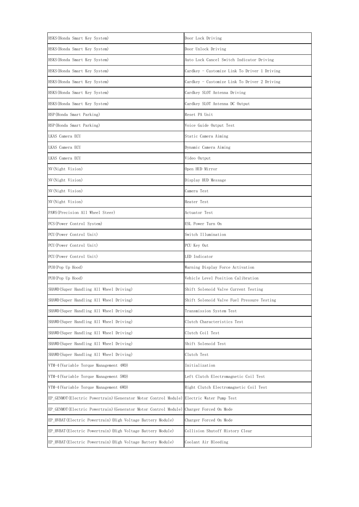| HSKS(Honda Smart Key System)                                   | Door Lock Driving                            |
|----------------------------------------------------------------|----------------------------------------------|
| HSKS(Honda Smart Key System)                                   | Door Unlock Driving                          |
| HSKS(Honda Smart Key System)                                   | Auto Lock Cancel Switch Indicator Driving    |
| HSKS(Honda Smart Key System)                                   | Cardkey - Customize Link To Driver 1 Driving |
| HSKS(Honda Smart Key System)                                   | Cardkey - Customize Link To Driver 2 Driving |
| HSKS(Honda Smart Key System)                                   | Cardkey SLOT Antenna Driving                 |
| HSKS(Honda Smart Key System)                                   | Cardkey SLOT Antenna DC Output               |
| HSP(Honda Smart Parking)                                       | Reset PA Unit                                |
| HSP(Honda Smart Parking)                                       | Voice Guide Output Test                      |
| LKAS Camera ECU                                                | Static Camera Aiming                         |
| LKAS Camera ECU                                                | Dynamic Camera Aiming                        |
| LKAS Camera ECU                                                | Video Output                                 |
| NV(Night Vision)                                               | Open HUD Mirror                              |
| NV(Night Vision)                                               | Display HUD Message                          |
| NV(Night Vision)                                               | Camera Test                                  |
| NV(Night Vision)                                               | Heater Test                                  |
| PAWS (Precision All Wheel Steer)                               | Actuator Test                                |
| PCS (Power Control System)                                     | ESL Power Turn On                            |
| PCU(Power Control Unit)                                        | Switch Illumination                          |
| PCU(Power Control Unit)                                        | PCU Key Out                                  |
| PCU(Power Control Unit)                                        | LED Indicator                                |
| PUH(Pop Up Hood)                                               | Warning Display Force Activation             |
| PUH(Pop Up Hood)                                               | Vehicle Level Position Calibration           |
| SHAWD(Super Handling All Wheel Driving)                        | Shift Solenoid Valve Current Testing         |
| SHAWD (Super Handling All Wheel Driving)                       | Shift Solenoid Valve Fuel Pressure Testing   |
| SHAWD(Super Handling All Wheel Driving)                        | Transmission System Test                     |
| SHAWD(Super Handling All Wheel Driving)                        | Clutch Characteristics Test                  |
| SHAWD(Super Handling All Wheel Driving)                        | Clutch Coil Test                             |
| SHAWD(Super Handling All Wheel Driving)                        | Shift Solenoid Test                          |
| SHAWD(Super Handling All Wheel Driving)                        | Clutch Test                                  |
| VTM-4(Variable Torque Management 4WD)                          | Initialization                               |
| VTM-4(Variable Torque Management 5WD)                          | Left Clutch Electromagnetic Coil Test        |
| VTM-4(Variable Torque Management 6WD)                          | Right Clutch Electromagnetic Coil Test       |
| EP GENMOT(Electric Powertrain)(Generator Motor Control Module) | Electric Water Pump Test                     |
| EP GENMOT(Electric Powertrain)(Generator Motor Control Module) | Charger Forced On Mode                       |
| EP HVBAT(Electric Powertrain) (High Voltage Battery Module)    | Charger Forced On Mode                       |
| EP HVBAT(Electric Powertrain)(High Voltage Battery Module)     | Collision Shutoff History Clear              |
| EP HVBAT(Electric Powertrain) (High Voltage Battery Module)    | Coolant Air Bleeding                         |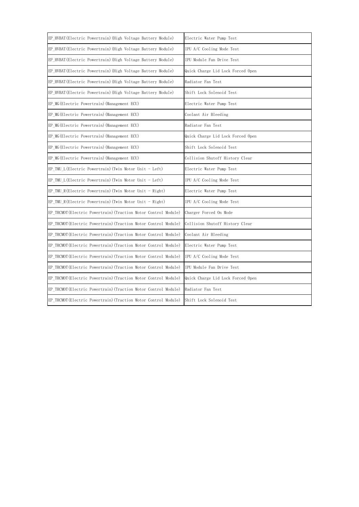| EP HVBAT (Electric Powertrain) (High Voltage Battery Module)    | Electric Water Pump Test          |
|-----------------------------------------------------------------|-----------------------------------|
| EP HVBAT (Electric Powertrain) (High Voltage Battery Module)    | IPU A/C Cooling Mode Test         |
| EP HVBAT (Electric Powertrain) (High Voltage Battery Module)    | IPU Module Fan Drive Test         |
| EP_HVBAT(Electric Powertrain) (High Voltage Battery Module)     | Quick Charge Lid Lock Forced Open |
| EP HVBAT (Electric Powertrain) (High Voltage Battery Module)    | Radiator Fan Test                 |
| EP_HVBAT(Electric Powertrain) (High Voltage Battery Module)     | Shift Lock Solenoid Test          |
| EP MG (Electric Powertrain) (Management ECU)                    | Electric Water Pump Test          |
| EP MG (Electric Powertrain) (Management ECU)                    | Coolant Air Bleeding              |
| EP MG (Electric Powertrain) (Management ECU)                    | Radiator Fan Test                 |
| EP MG (Electric Powertrain) (Management ECU)                    | Quick Charge Lid Lock Forced Open |
| EP_MG(Electric Powertrain) (Management ECU)                     | Shift Lock Solenoid Test          |
| EP MG (Electric Powertrain) (Management ECU)                    | Collision Shutoff History Clear   |
| EP_TMU_L(Electric Powertrain) (Twin Motor Unit - Left)          | Electric Water Pump Test          |
| EP TMU L(Electric Powertrain) (Twin Motor Unit - Left)          | IPU A/C Cooling Mode Test         |
| EP TMU R(Electric Powertrain) (Twin Motor Unit - Right)         | Electric Water Pump Test          |
| EP TMU R(Electric Powertrain) (Twin Motor Unit - Right)         | IPU A/C Cooling Mode Test         |
| EP TRCMOT (Electric Powertrain) (Traction Motor Control Module) | Charger Forced On Mode            |
| EP TRCMOT (Electric Powertrain) (Traction Motor Control Module) | Collision Shutoff History Clear   |
| EP TRCMOT (Electric Powertrain) (Traction Motor Control Module) | Coolant Air Bleeding              |
| EP TRCMOT (Electric Powertrain) (Traction Motor Control Module) | Electric Water Pump Test          |
| EP TRCMOT (Electric Powertrain) (Traction Motor Control Module) | IPU A/C Cooling Mode Test         |
| EP TRCMOT (Electric Powertrain) (Traction Motor Control Module) | IPU Module Fan Drive Test         |
| EP TRCMOT (Electric Powertrain) (Traction Motor Control Module) | Quick Charge Lid Lock Forced Open |
| EP TRCMOT (Electric Powertrain) (Traction Motor Control Module) | Radiator Fan Test                 |
| EP TRCMOT (Electric Powertrain) (Traction Motor Control Module) | Shift Lock Solenoid Test          |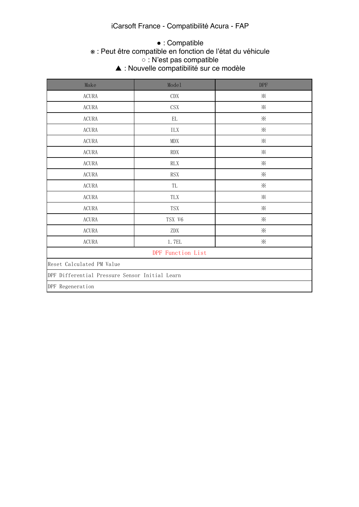#### iCarsoft France - Compatibilité Acura - FAP

#### ● : Compatible

#### ※ : Peut être compatible en fonction de l'état du véhicule ○ : N'est pas compatible.

▲ : Nouvelle compatibilité sur ce modèle

| Make                                           | Model                       | <b>DPF</b> |
|------------------------------------------------|-----------------------------|------------|
| $\operatorname{ACURA}$                         | $\mathrm{CDX}$              | $\times$   |
| $\operatorname{ACURA}$                         | $\mathop{\rm CSX}\nolimits$ | $\times$   |
| $\operatorname{ACURA}$                         | $\mathop{\rm EL}$           | $\times$   |
| <b>ACURA</b>                                   | ILX                         | $\times$   |
| $\operatorname{ACURA}$                         | MDX                         | $\times$   |
| $\operatorname{ACURA}$                         | $\mathop{\rm RDX}\nolimits$ | $\times$   |
| ACURA                                          | RLX                         | $\times$   |
| $\operatorname{ACURA}$                         | <b>RSX</b>                  | $\times$   |
| ACURA                                          | TL                          | $\times$   |
| ACURA                                          | TLX                         | $\times$   |
| ACURA                                          | TSX                         | $\times$   |
| ACURA                                          | TSX V6                      | $\times$   |
| ACURA                                          | $\mathrm{ZDX}$              | $\times$   |
| $\operatorname{ACURA}$                         | 1.7EL                       | $\times$   |
| DPF Function List                              |                             |            |
| Reset Calculated PM Value                      |                             |            |
| DPF Differential Pressure Sensor Initial Learn |                             |            |
| DPF Regeneration                               |                             |            |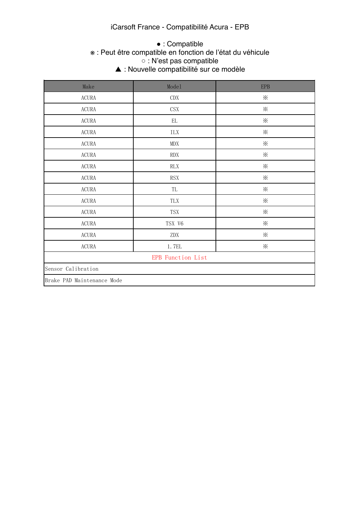#### iCarsoft France - Compatibilité Acura - EPB

#### ※ : Peut être compatible en fonction de l'état du véhicule  $\circ$  : N'est pas compatible. ▲ : Nouvelle compatibilité sur ce modèle ● : Compatible

| Make                       | Mode1                | <b>EPB</b> |
|----------------------------|----------------------|------------|
| ACURA                      | CDX                  | $\times$   |
| ACURA                      | CSX                  | $\times$   |
| ACURA                      | $\mathop{\rm EL}$    | $\times$   |
| ACURA                      | $\rm{ILX}$           | $\times$   |
| <b>ACURA</b>               | MDX                  | $\times$   |
| ACURA                      | <b>RDX</b>           | $\times$   |
| ACURA                      | $\mathsf{RLX}$       | $\times$   |
| ACURA                      | $\operatorname{RSX}$ | $\times$   |
| $\operatorname{ACURA}$     | TL                   | $\times$   |
| ACURA                      | TLX                  | $\times$   |
| ACURA                      | <b>TSX</b>           | $\times$   |
| <b>ACURA</b>               | TSX V6               | $\times$   |
| ACURA                      | ZDX                  | $\times$   |
| $\operatorname{ACURA}$     | 1.7EL                | ⋇          |
| <b>EPB</b> Function List   |                      |            |
| Sensor Calibration         |                      |            |
| Brake PAD Maintenance Mode |                      |            |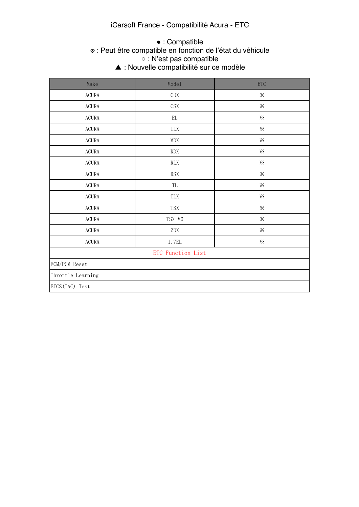#### iCarsoft France - Compatibilité Acura - ETC

#### $A\subset\mathbb{R}^n$  and  $A\subset\mathbb{R}^n$  . The reference only  $\mathbb{R}^n$ ※ : Peut être compatible en fonction de l'état du véhicule  $\circ$  : N'est pas compatible. ▲ : Nouvelle compatibilité sur ce modèle ● : Compatible

| Make                   | Mode1                                                                               | $ETC$    |
|------------------------|-------------------------------------------------------------------------------------|----------|
| $\operatorname{ACURA}$ | $\mathrm{CDX}$                                                                      | $\times$ |
| $\operatorname{ACURA}$ | $\mathbb{C}\mathbf{S}\mathbf{X}$                                                    | $\times$ |
| $\operatorname{ACURA}$ | $\mathop{\rm EL}$                                                                   | $\times$ |
| $\operatorname{ACURA}$ | $\rm{ILX}$                                                                          | $\times$ |
| $\operatorname{ACURA}$ | $\operatorname{MDX}$                                                                | $\times$ |
| $\operatorname{ACURA}$ | $\mathop{\rm RDX}\nolimits$                                                         | $\times$ |
| $\operatorname{ACURA}$ | $\mathop{\rm RLX}\nolimits$                                                         | $\times$ |
| $\operatorname{ACURA}$ | $\operatorname{RSX}$                                                                | $\times$ |
| $\operatorname{ACURA}$ | $\rm TL$                                                                            | $\times$ |
| $\operatorname{ACURA}$ | ${\rm T}{\rm L}{\rm X}$                                                             | $\times$ |
| $\operatorname{ACURA}$ | $\operatorname{TSX}$                                                                | $\times$ |
| $\operatorname{ACURA}$ | TSX V6                                                                              | $\times$ |
| $\operatorname{ACURA}$ | $\mathrm{ZDX}% \left( \mathcal{N}\right) \equiv\mathrm{Z}\left( \mathcal{N}\right)$ | $\times$ |
| <b>ACURA</b>           | $1.7\mathrm{EL}$                                                                    | $\times$ |
| ETC Function List      |                                                                                     |          |
| ECM/PCM Reset          |                                                                                     |          |
| Throttle Learning      |                                                                                     |          |
| ETCS (TAC) Test        |                                                                                     |          |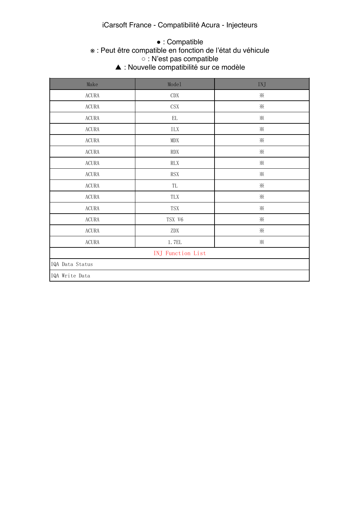#### iCarsoft France - Compatibilité Acura - Injecteurs

#### $A\subset\mathbb{R}^n$  in the function  $\mathbb{R}^n$  is the function  $\mathbb{R}^n$ ※ : Peut être compatible en fonction de l'état du véhicule  $\circ$  : N'est pas compatible. ▲ : Nouvelle compatibilité sur ce modèle ● : Compatible

| Make                     | Mode1                            | INJ      |
|--------------------------|----------------------------------|----------|
| $\operatorname{ACURA}$   | $\mathrm{CDX}$                   | $\times$ |
| $\operatorname{ACURA}$   | $\mathbb{C}\mathbf{S}\mathbf{X}$ | $\times$ |
| $\operatorname{ACURA}$   | $\mathop{\rm EL}$                | $\times$ |
| $\operatorname{ACURA}$   | $\rm{ILX}$                       | $\times$ |
| $\operatorname{ACURA}$   | MDX                              | $\times$ |
| $\operatorname{ACURA}$   | $\mathop{\rm RDX}\nolimits$      | $\times$ |
| $\operatorname{ACURA}$   | RLX                              | $\times$ |
| $\operatorname{ACURA}$   | $\operatorname{RSX}$             | $\times$ |
| $\operatorname{ACURA}$   | TL                               | $\times$ |
| $\operatorname{ACURA}$   | ${\rm T}{\rm L}{\rm X}$          | $\times$ |
| $\operatorname{ACURA}$   | $\operatorname{TSX}$             | $\times$ |
| $\operatorname{ACURA}$   | TSX V6                           | $\times$ |
| $\operatorname{ACURA}$   | $\mathrm{ZDX}$                   | $\times$ |
| $\operatorname{ACURA}$   | 1.7EL                            | $\times$ |
| <b>INJ</b> Function List |                                  |          |
| IQA Data Status          |                                  |          |
| IQA Write Data           |                                  |          |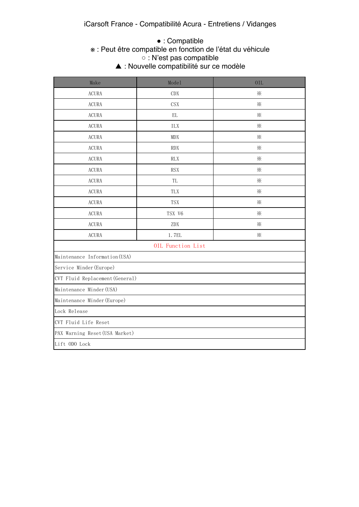## $\bullet$  : Compatible

#### ※ : Peut être compatible en fonction de l'état du véhicule ○ : N'est pas compatible. ▲ : Nouvelle compatibilité sur ce modèle

| Make                            | Mode1      | <b>OIL</b> |
|---------------------------------|------------|------------|
| <b>ACURA</b>                    | CDX        | $\times$   |
| <b>ACURA</b>                    | <b>CSX</b> | $\times$   |
| <b>ACURA</b>                    | EL         | ⋇          |
| <b>ACURA</b>                    | ILX        | $\times$   |
| <b>ACURA</b>                    | <b>MDX</b> | ⋇          |
| <b>ACURA</b>                    | <b>RDX</b> | ⋇          |
| <b>ACURA</b>                    | <b>RLX</b> | ⋇          |
| <b>ACURA</b>                    | <b>RSX</b> | ⋇          |
| <b>ACURA</b>                    | TL         | ⋇          |
| <b>ACURA</b>                    | TLX        | ⋇          |
| <b>ACURA</b>                    | <b>TSX</b> | $\times$   |
| <b>ACURA</b>                    | TSX V6     | ⋇          |
| <b>ACURA</b>                    | ZDX        | ⋇          |
| <b>ACURA</b>                    | 1.7EL      | $\times$   |
| OIL Function List               |            |            |
| Maintenance Information (USA)   |            |            |
| Service Minder (Europe)         |            |            |
| CVT Fluid Replacement (General) |            |            |
| Maintenance Minder (USA)        |            |            |
| Maintenance Minder (Europe)     |            |            |
| Lock Release                    |            |            |
| CVT Fluid Life Reset            |            |            |
| PAX Warning Reset (USA Market)  |            |            |
| Lift ODO Lock                   |            |            |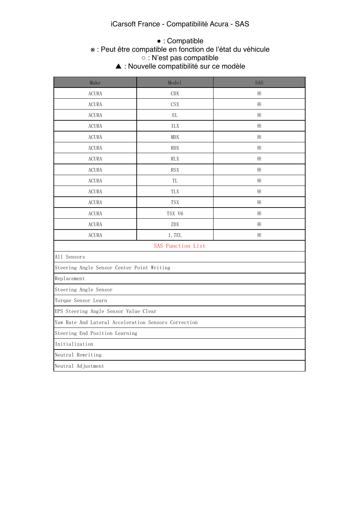#### iCarsoft France - Compatibilité Acura - SAS

## $\bullet$  : Compatible

#### $\mathcal{F}$  : Peut etre compared.  $\circ$  : N'est pas compatible. ※ : Peut être compatible en fonction de l'état du véhicule ○ : N'est pas compatible

△ This function is not supported. The support of  $\blacktriangle$  : Nouve ▲ : Nouvelle compatibilité sur ce modèle

| Make                                                 | Model             | SAS      |
|------------------------------------------------------|-------------------|----------|
| <b>ACURA</b>                                         | CDX               | ⋇        |
| <b>ACURA</b>                                         | <b>CSX</b>        | $\times$ |
| <b>ACURA</b>                                         | $\mathop{\rm EL}$ | ⋇        |
| <b>ACURA</b>                                         | ILX               | ⋇        |
| <b>ACURA</b>                                         | <b>MDX</b>        | ⋇        |
| <b>ACURA</b>                                         | <b>RDX</b>        | ⋇        |
| <b>ACURA</b>                                         | <b>RLX</b>        | ⋇        |
| <b>ACURA</b>                                         | <b>RSX</b>        | ⋇        |
| <b>ACURA</b>                                         | TL                | ⋇        |
| <b>ACURA</b>                                         | TLX               | $\times$ |
| <b>ACURA</b>                                         | <b>TSX</b>        | ⋇        |
| <b>ACURA</b>                                         | TSX V6            | ⋇        |
| <b>ACURA</b>                                         | ZDX               | ⋇        |
| <b>ACURA</b>                                         | 1.7EL             | $\times$ |
|                                                      | SAS Function List |          |
| All Sensors                                          |                   |          |
| Steering Angle Sensor Center Point Writing           |                   |          |
| Replacement                                          |                   |          |
| Steering Angle Sensor                                |                   |          |
| Torque Sensor Learn                                  |                   |          |
| EPS Steering Angle Sensor Value Clear                |                   |          |
| Yaw Rate And Lateral Acceleration Sensors Correction |                   |          |
| Steering End Position Learning                       |                   |          |
| Initialization                                       |                   |          |
| Neutral Rewriting                                    |                   |          |
| Neutral Adjustment                                   |                   |          |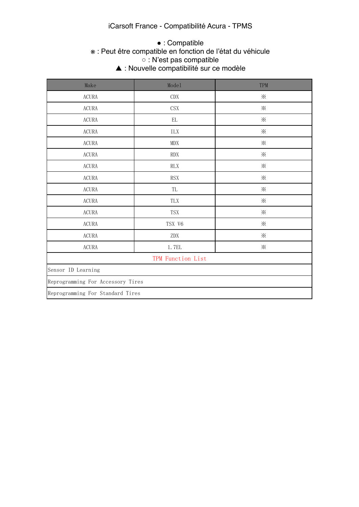#### iCarsoft France - Compatibilité Acura - TPMS

#### ● : Compatible

#### **Example 13** Secure 1 Secure 1 Secure 1 Secure 1 Secure 1 Secure 1 Secure 1 Secure 1 Secure 1 Secure 1 Secure 1 Secure 1 Secure 1 Secure 1 Secure 1 Secure 1 Secure 1 Secure 1 Secure 1 Secure 1 Secure 1 Secure 1 Secure 1 Se  $\circ$  : N'est pas compatible. △ This function is not supported. The support of  $\blacktriangle$  Theory ※ : Peut être compatible en fonction de l'état du véhicule ○ : N'est pas compatible

| ▲ : Nouvelle compatibilité sur ce modèle |
|------------------------------------------|
|                                          |

| Make                              | Model                       | TPM      |
|-----------------------------------|-----------------------------|----------|
| $\operatorname{ACURA}$            | $\mathrm{CDX}$              | $\times$ |
| $\operatorname{ACURA}$            | $\mathop{\rm CSX}\nolimits$ | $\times$ |
| $\operatorname{ACURA}$            | $\mathop{\rm EL}$           | $\times$ |
| $\operatorname{ACURA}$            | $\rm{ILX}$                  | $\times$ |
| $\operatorname{ACURA}$            | $\texttt{MDX}$              | $\times$ |
| $\operatorname{ACURA}$            | $\mathop{\rm RDX}\nolimits$ | $\times$ |
| $\operatorname{ACURA}$            | $\mathop{\rm RLX}\nolimits$ | $\times$ |
| $\operatorname{ACURA}$            | $\operatorname{RSX}$        | $\times$ |
| $\operatorname{ACURA}$            | TL                          | $\times$ |
| $\operatorname{ACURA}$            | ${\rm T}{\rm L}{\rm X}$     | $\times$ |
| $\operatorname{ACURA}$            | $\operatorname{TSX}$        | $\times$ |
| $\operatorname{ACURA}$            | TSX V6                      | $\times$ |
| $\operatorname{ACURA}$            | $\mathrm{ZDX}$              | $\times$ |
| $\operatorname{ACURA}$            | 1.7EL                       | $\times$ |
| TPM Function List                 |                             |          |
| Sensor ID Learning                |                             |          |
| Reprogramming For Accessory Tires |                             |          |
| Reprogramming For Standard Tires  |                             |          |